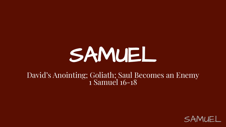# SAMUEL

#### David's Anointing; Goliath; Saul Becomes an Enemy 1 Samuel 16-18

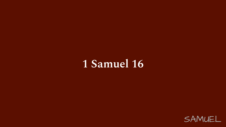#### 1 Samuel 16

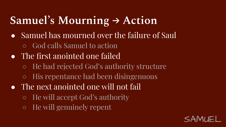#### **Samuel's Mourning → Action**

- Samuel has mourned over the failure of Saul
	- God calls Samuel to action
- The first anointed one failed
	- He had rejected God's authority structure
	- His repentance had been disingenuous
- $\bullet$  The next anointed one will not fail
	- He will accept God's authority
	- He will genuinely repent

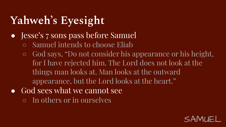# **Yahweh's Eyesight**

- Jesse's 7 sons pass before Samuel
	- Samuel intends to choose Eliab
	- God says, "Do not consider his appearance or his height, for I have rejected him. The Lord does not look at the things man looks at. Man looks at the outward appearance, but the Lord looks at the heart."
- God sees what we cannot see
	- In others or in ourselves

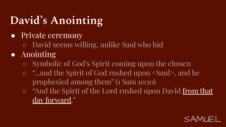# **David's Anointing**

- Private ceremony
	- David seems willing, unlike Saul who hid
- Anointing
	- Symbolic of God's Spirit coming upon the chosen
	- "...and the Spirit of God rushed upon <Saul>, and he prophesied among them" (1 Sam 10:10)
	- "And the Spirit of the Lord rushed upon David from that day forward."

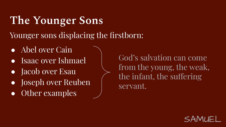#### **The Younger Sons**

Younger sons displacing the firstborn:

- Abel over Cain
- Isaac over Ishmael
- Jacob over Esau
- Joseph over Reuben
- Other examples

God's salvation can come from the young, the weak, the infant, the suffering servant.

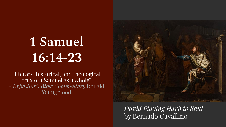# **1 Samuel 16:14-23**

"literary, historical, and theological crux of 1 Samuel as a whole" - *Expositor's Bible Commentary* Ronald Youngblood



 $\mathbf{O}$ *David Playing Harp to Saul*  by Bernado Cavallino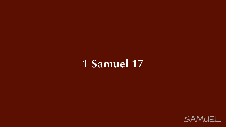#### 1 Samuel 17

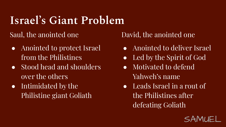#### **Israel's Giant Problem**

Saul, the anointed one

- Anointed to protect Israel from the Philistines
- Stood head and shoulders over the others
- Intimidated by the Philistine giant Goliath

David, the anointed one

- Anointed to deliver Israel
- Led by the Spirit of God
- Motivated to defend Yahweh's name
- Leads Israel in a rout of the Philistines after defeating Goliath

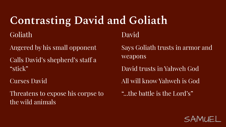#### **Contrasting David and Goliath**

Goliath

Angered by his small opponent

Calls David's shepherd's staff a "stick"

Curses David

Threatens to expose his corpse to the wild animals

David

Says Goliath trusts in armor and weapons

David trusts in Yahweh God

All will know Yahweh is God

"...the battle is the Lord's"

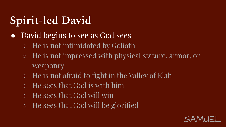### **Spirit-led David**

- David begins to see as God sees
	- He is not intimidated by Goliath
	- He is not impressed with physical stature, armor, or weaponry
	- $\circ$  He is not afraid to fight in the Valley of Elah
	- He sees that God is with him
	- He sees that God will win
	- He sees that God will be glorified

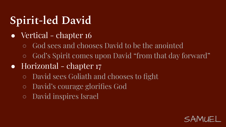### **Spirit-led David**

- Vertical chapter 16
	- God sees and chooses David to be the anointed
	- God's Spirit comes upon David "from that day forward"
- Horizontal chapter 17
	- David sees Goliath and chooses to fight
	- David's courage glorifies God
	- David inspires Israel

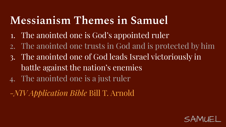#### **Messianism Themes in Samuel**

- 1. The anointed one is God's appointed ruler
- 2. The anointed one trusts in God and is protected by him
- 3. The anointed one of God leads Israel victoriously in battle against the nation's enemies
- 4. The anointed one is a just ruler
- -*NIV Application Bible* Bill T. Arnold

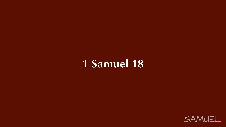#### 1 Samuel 18

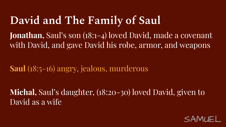#### **David and The Family of Saul**

**Jonathan,** Saul's son (18:1-4) loved David, made a covenant with David, and gave David his robe, armor, and weapons

**Saul** (18:5-16) angry, jealous, murderous

**Michal,** Saul's daughter, (18:20-30) loved David, given to David as a wife

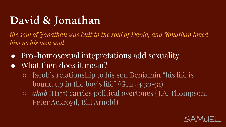#### **David & Jonathan**

*the soul of Jonathan was knit to the soul of David, and Jonathan loved him as his own soul*

- Pro-homosexual intepretations add sexuality
- What then does it mean?
	- Jacob's relationship to his son Benjamin "his life is bound up in the boy's life" (Gen 44:30-31)
	- *○ ahab* (H157) carries political overtones ( J.A. Thompson, Peter Ackroyd, Bill Arnold)

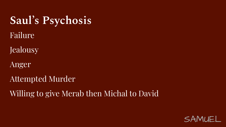#### **Saul's Psychosis**

- Failure
- Jealousy
- Anger
- Attempted Murder
- Willing to give Merab then Michal to David